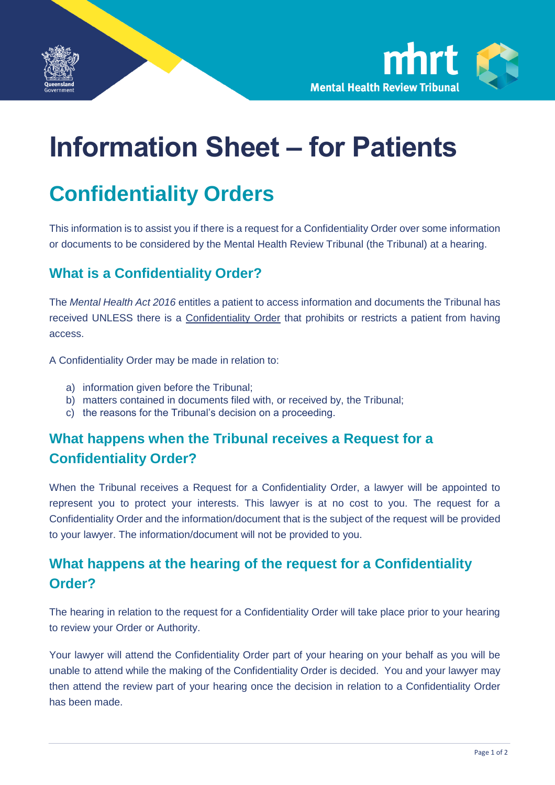



# **Information Sheet – for Patients**

## **Confidentiality Orders**

This information is to assist you if there is a request for a Confidentiality Order over some information or documents to be considered by the Mental Health Review Tribunal (the Tribunal) at a hearing.

#### **What is a Confidentiality Order?**

The *Mental Health Act 2016* entitles a patient to access information and documents the Tribunal has received UNLESS there is a Confidentiality Order that prohibits or restricts a patient from having access.

A Confidentiality Order may be made in relation to:

- a) information given before the Tribunal;
- b) matters contained in documents filed with, or received by, the Tribunal;
- c) the reasons for the Tribunal's decision on a proceeding.

#### **What happens when the Tribunal receives a Request for a Confidentiality Order?**

When the Tribunal receives a Request for a Confidentiality Order, a lawyer will be appointed to represent you to protect your interests. This lawyer is at no cost to you. The request for a Confidentiality Order and the information/document that is the subject of the request will be provided to your lawyer. The information/document will not be provided to you.

#### **What happens at the hearing of the request for a Confidentiality Order?**

The hearing in relation to the request for a Confidentiality Order will take place prior to your hearing to review your Order or Authority.

Your lawyer will attend the Confidentiality Order part of your hearing on your behalf as you will be unable to attend while the making of the Confidentiality Order is decided. You and your lawyer may then attend the review part of your hearing once the decision in relation to a Confidentiality Order has been made.